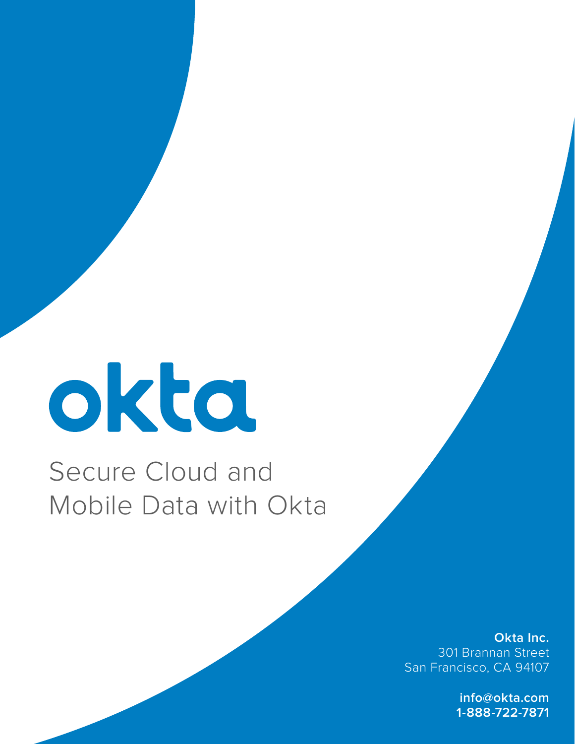# okta

# Secure Cloud and Mobile Data with Okta

**Okta Inc.** 301 Brannan Street San Francisco, CA 94107

> **info@okta.com 1-888-722-7871**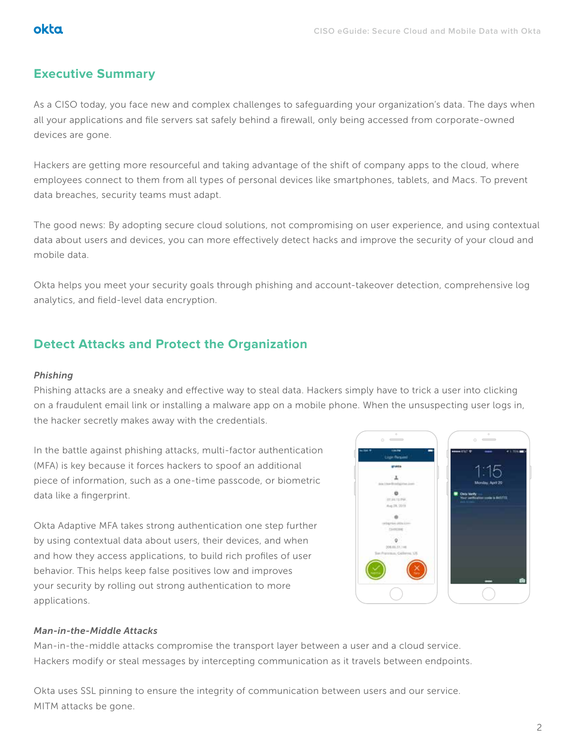### **Executive Summary**

As a CISO today, you face new and complex challenges to safeguarding your organization's data. The days when all your applications and file servers sat safely behind a firewall, only being accessed from corporate-owned devices are gone.

Hackers are getting more resourceful and taking advantage of the shift of company apps to the cloud, where employees connect to them from all types of personal devices like smartphones, tablets, and Macs. To prevent data breaches, security teams must adapt.

The good news: By adopting secure cloud solutions, not compromising on user experience, and using contextual data about users and devices, you can more effectively detect hacks and improve the security of your cloud and mobile data.

Okta helps you meet your security goals through phishing and account-takeover detection, comprehensive log analytics, and field-level data encryption.

# **Detect Attacks and Protect the Organization**

#### *Phishing*

Phishing attacks are a sneaky and effective way to steal data. Hackers simply have to trick a user into clicking on a fraudulent email link or installing a malware app on a mobile phone. When the unsuspecting user logs in, the hacker secretly makes away with the credentials.

In the battle against phishing attacks, multi-factor authentication (MFA) is key because it forces hackers to spoof an additional piece of information, such as a one-time passcode, or biometric data like a fingerprint.

Okta Adaptive MFA takes strong authentication one step further by using contextual data about users, their devices, and when and how they access applications, to build rich profiles of user behavior. This helps keep false positives low and improves your security by rolling out strong authentication to more applications.



#### *Man-in-the-Middle Attacks*

Man-in-the-middle attacks compromise the transport layer between a user and a cloud service. Hackers modify or steal messages by intercepting communication as it travels between endpoints.

Okta uses SSL pinning to ensure the integrity of communication between users and our service. MITM attacks be gone.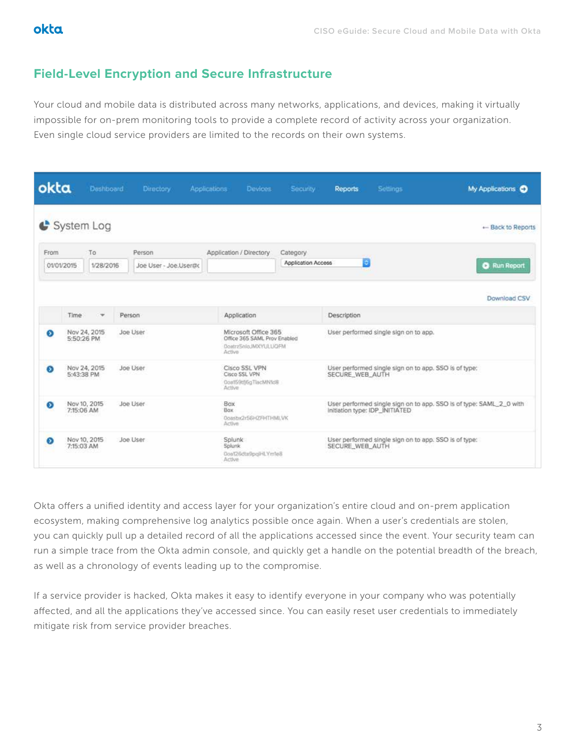# **Field-Level Encryption and Secure Infrastructure**

Your cloud and mobile data is distributed across many networks, applications, and devices, making it virtually impossible for on-prem monitoring tools to provide a complete record of activity across your organization. Even single cloud service providers are limited to the records on their own systems.

| okta      |                                        | Dashboard   |  | Directory                                          | <b>Applications</b> | Devices.                                                                                | Security                                                                 | <b>Reports</b>                                                                                        | <b>Settings</b>     | My Applications C |
|-----------|----------------------------------------|-------------|--|----------------------------------------------------|---------------------|-----------------------------------------------------------------------------------------|--------------------------------------------------------------------------|-------------------------------------------------------------------------------------------------------|---------------------|-------------------|
|           |                                        | System Log  |  |                                                    |                     |                                                                                         |                                                                          |                                                                                                       |                     | - Back to Reports |
| From      |                                        | To          |  | Person                                             |                     | Application / Directory                                                                 |                                                                          |                                                                                                       |                     |                   |
|           | 01/01/2015                             | 1/28/2016   |  | Joe User - Joe Usertto                             |                     |                                                                                         | Е<br>Application Access                                                  |                                                                                                       | <b>Q</b> Run Report |                   |
|           |                                        |             |  |                                                    |                     |                                                                                         |                                                                          |                                                                                                       |                     | Download CSV      |
|           | Time                                   | Person<br>÷ |  |                                                    | Application         |                                                                                         | Description                                                              |                                                                                                       |                     |                   |
| ⊛         | Nov 24, 2015<br>5:50:26 PM             |             |  | Joe User                                           |                     | Microsoft Office 365<br>Office 365 SAML Prov Enabled<br>DoatrzSnigJMXYULUQFM<br>Active. |                                                                          | User performed single sign on to app.                                                                 |                     |                   |
| $\bullet$ | Nov 24, 2015<br>5:43:38 PM             |             |  | Joe User                                           |                     | Cisco SSL VPN<br>Cisco SSL VPN<br>Coat59tfj6gTlacMN1dB<br>Active                        |                                                                          | User performed single sign on to app. SSO is of type:<br>SECURE WEB AUTH                              |                     |                   |
| ⊛         | Nov 10, 2015<br>7:15:06 AM             |             |  | Joe User                                           | Box<br>Box.         | Ooasbx2r56HZFHTHMLVK<br>Active                                                          |                                                                          | User performed single sign on to app. SSO is of type: SAML_2_0 with<br>Initiation type: IDP_INITIATED |                     |                   |
| $\bullet$ | Nov 10, 2015<br>Joe User<br>7:15:03 AM |             |  | Splunk<br>Splunk.<br>0oa126dta9pgHLYm1e8<br>Active |                     |                                                                                         | User performed single sign on to app. SSO is of type:<br>SECURE WEB AUTH |                                                                                                       |                     |                   |

Okta offers a unified identity and access layer for your organization's entire cloud and on-prem application ecosystem, making comprehensive log analytics possible once again. When a user's credentials are stolen, you can quickly pull up a detailed record of all the applications accessed since the event. Your security team can run a simple trace from the Okta admin console, and quickly get a handle on the potential breadth of the breach, as well as a chronology of events leading up to the compromise.

If a service provider is hacked, Okta makes it easy to identify everyone in your company who was potentially affected, and all the applications they've accessed since. You can easily reset user credentials to immediately mitigate risk from service provider breaches.